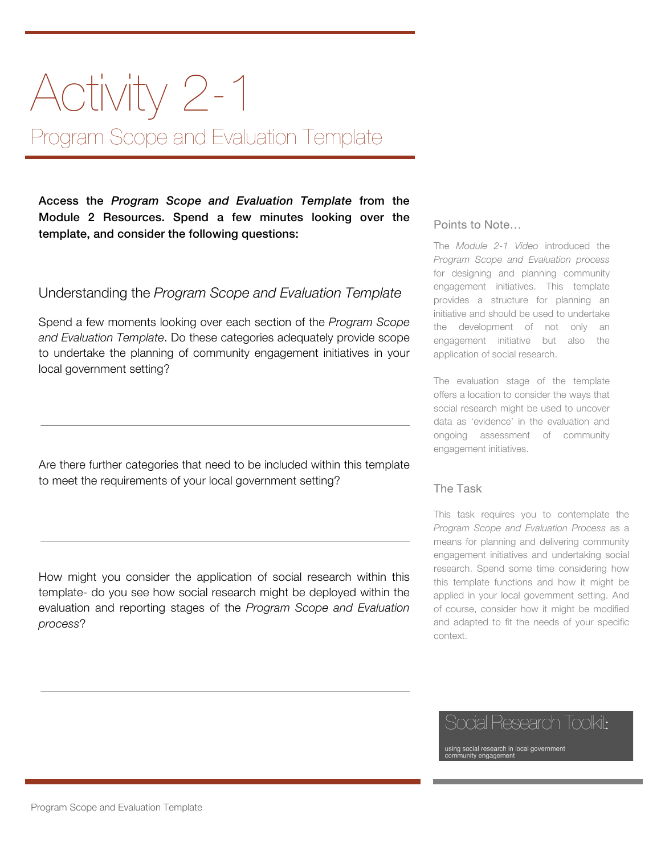# Activity 2-1 Program Scope and Evaluation Template

Access the *Program Scope and Evaluation Template* from the Module 2 Resources. Spend a few minutes looking over the template, and consider the following questions:

### Understanding the *Program Scope and Evaluation Template*

Spend a few moments looking over each section of the *Program Scope and Evaluation Template*. Do these categories adequately provide scope to undertake the planning of community engagement initiatives in your local government setting?

Are there further categories that need to be included within this template to meet the requirements of your local government setting?

How might you consider the application of social research within this template- do you see how social research might be deployed within the evaluation and reporting stages of the *Program Scope and Evaluation process*?

#### Points to Note…

The *Module 2-1 Video* introduced the *Program Scope and Evaluation process* for designing and planning community engagement initiatives. This template provides a structure for planning an initiative and should be used to undertake the development of not only an engagement initiative but also the application of social research.

The evaluation stage of the template offers a location to consider the ways that social research might be used to uncover data as 'evidence' in the evaluation and ongoing assessment of community engagement initiatives.

#### The Task

This task requires you to contemplate the *Program Scope and Evaluation Process* as a means for planning and delivering community engagement initiatives and undertaking social research. Spend some time considering how this template functions and how it might be applied in your local government setting. And of course, consider how it might be modified and adapted to fit the needs of your specific context.

# kesearch Ioolkit:

sing social research in local government<br>pmmunity engagement